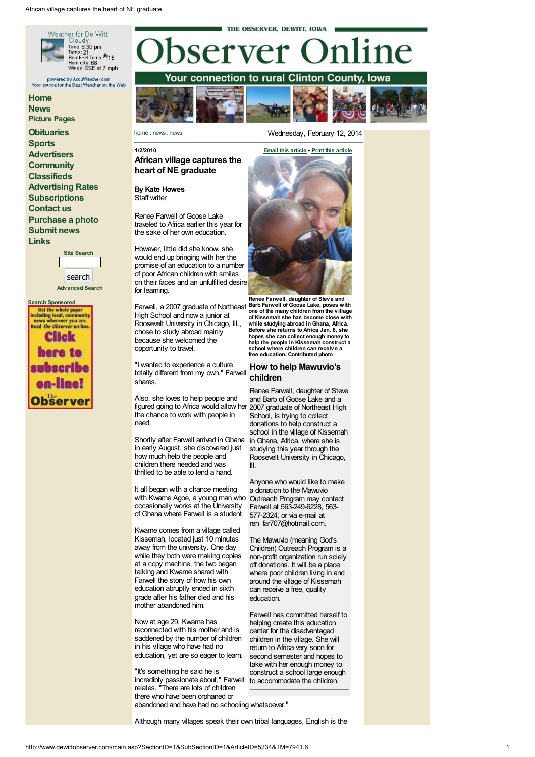







## 1/2/2010 African village captures the heart of NE graduate

By Kate H[ow](mailto:observer@iowatelecom.net)es Staff writer

Staff writer<br>Renee Farwell of Goose Lake traveled to Africa earlier this year for<br>the sake of her own education. he sake of her own education.

However, little did she know, s h e would end up bringing with her the promise of an education to a number of poor African children with smiles on their faces and an unfulfilled desire for learning.

Farwell, a 2007 graduate of Northeast Barb Farwell of Goose Lake, poses with High School and now a junior at Roosevelt University in Chicago, III.,<br>chose to study abroad mainly<br>because she welcomed the<br>opportunity to travel.

"I wanted to experience <sup>a</sup> culture totally different from my own," Farwell shares.

Also, she loves to help people and<br>figured going to Africa would allow her<br>the chance to work with people in<br>need.

Shortly after Farwell arrived in Ghana in Ghana, Africa, where she is<br>in early August, she discovered just studying this year through the<br>how much help the people and children there needed and was<br>thrilled to be able to le

It all began with a chance meeting<br>with Kwame Agoe, a young man who occasionally works at the University of Ghana where Farwell is a student.

Kwame comes from a village called<br>Kissemah, located just 10 minutes<br>away from the university. One day while they both were making copies at <sup>a</sup> copy machine, the two began talking and Kwame shared with education abruptly ended in sixth grade after his father died and his mother abandoned him.

Now at age 29, Kwame has<br>reconnected with his mother and is saddened by the number of children in his village who have had no education, yet are so eager to learn.

"It's something he said he is Incredibly passionate about," Farwell to accommodate the children.<br>relates. "There are lots of children<br>there who have been orphaned or there who have been orphaned or<br>abandoned and have had no schooling whatsoever."



 $|014|$ 

Renee Farwell, daughter of Steve and one of the many children from the village of Kissemah she has become close with<br>while studying abroad in Ghana, Africa. Before she returns to Africa Jan. 8, she<br>hopes she can collect enough money to<br>help the people in Kissemah construct a<br>school where children can receive a<br>free education. Contributed photo

# How to help Mawuvio's children

Renee Farwell, daughter of Steve<br>and Barb of Goose Lake and a<br>2007 graduate of Northeast High<br>School, is trying to collect<br>donations to help construct a<br>school in the village of Kissemah<br>in Ghana, Africa, where she is<br>stud

Anyone who would like to make<br>a donation to the Maw vio Outreach Program may contact Farwell at 563-249-6228, 563- 577-2324, or via e-mail at ren far707@hotmail.com.

The Mawuvio (meaning God's<br>Children) Outreach Program is a<br>non-profit organization run solely off donations. It will be a place where poor children living in and<br>around the village of Kissemah can receive <sup>a</sup> free, quality education.

Farwell has committed herself to helping create this education<br>center for the disadvantaged<br>children in the village. She will return to Africa very soon for<br>second semester and hopes to take with her enough money to<br>construct a school large enough

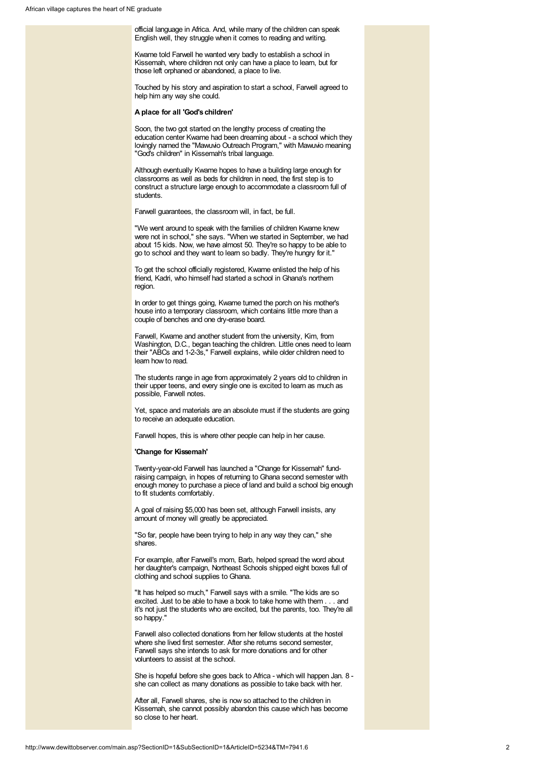official language in Africa. And, while many of the children can speak English well, they struggle when it comes to reading and writing.

Kwame told Farwell he wanted very badly to establish a school in Kissemah, where children not only can have a place to learn, but for those left orphaned or abandoned, a place to live.

Touched by his story and aspiration to start a school, Farwell agreed to help him any way she could.

#### A place for all 'God's children'

Soon, the two got started on the lengthy process of creating the education center Kwame had been dreaming about - a school which they lovingly named the "Mawuvio Outreach Program," with Mawuvio meaning "God's children" in Kissemah's tribal language.

Although eventually Kwame hopes to have a building large enough for classrooms as well as beds for children in need, the first step is to construct a structure large enough to accommodate a classroom full of students.

Farwell guarantees, the classroom will, in fact, be full.

"We went around to speak with the families of children Kwame knew were not in school," she says. "When we started in September, we had about 15 kids. Now, we have almost 50. They're so happy to be able to go to school and they want to learn so badly. They're hungry for it."

To get the school officially registered, Kwame enlisted the help of his friend, Kadri, who himself had started a school in Ghana's northern region.

In order to get things going. Kwame turned the porch on his mother's house into a temporary classroom, which contains little more than a couple of benches and one dry-erase board.

Farwell, Kwame and another student from the university, Kim, from Washington, D.C., began teaching the children. Little ones need to learn their "ABCs and 1-2-3s," Farwell explains, while older children need to learn how to read.

The students range in age from approximately 2 years old to children in their upper teens, and every single one is excited to learn as much as possible, Farwell notes.

Yet, space and materials are an absolute must if the students are going to receive an adequate education.

Farwell hopes, this is where other people can help in her cause.

#### 'Change for Kissemah'

Twenty-year-old Farwell has launched a "Change for Kissemah" fundraising campaign, in hopes of returning to Ghana second semester with enough money to purchase a piece of land and build a school big enough to fit students comfortably.

A goal of raising \$5,000 has been set, although Farwell insists, any amount of money will greatly be appreciated.

"So far, people have been trying to help in any way they can," she shares.

For example, after Farwell's mom, Barb, helped spread the word about her daughter's campaign, Northeast Schools shipped eight boxes full of clothing and school supplies to Ghana.

"It has helped so much," Farwell says with a smile. "The kids are so excited. Just to be able to have a book to take home with them . . . and it's not just the students who are excited, but the parents, too. They're all so happy."

Farwell also collected donations from her fellow students at the hostel where she lived first semester. After she returns second semester, Farwell says she intends to ask for more donations and for other volunteers to assist at the school.

She is hopeful before she goes back to Africa - which will happen Jan. 8 she can collect as many donations as possible to take back with her.

After all, Farwell shares, she is now so attached to the children in Kissemah, she cannot possibly abandon this cause which has become so close to her heart.